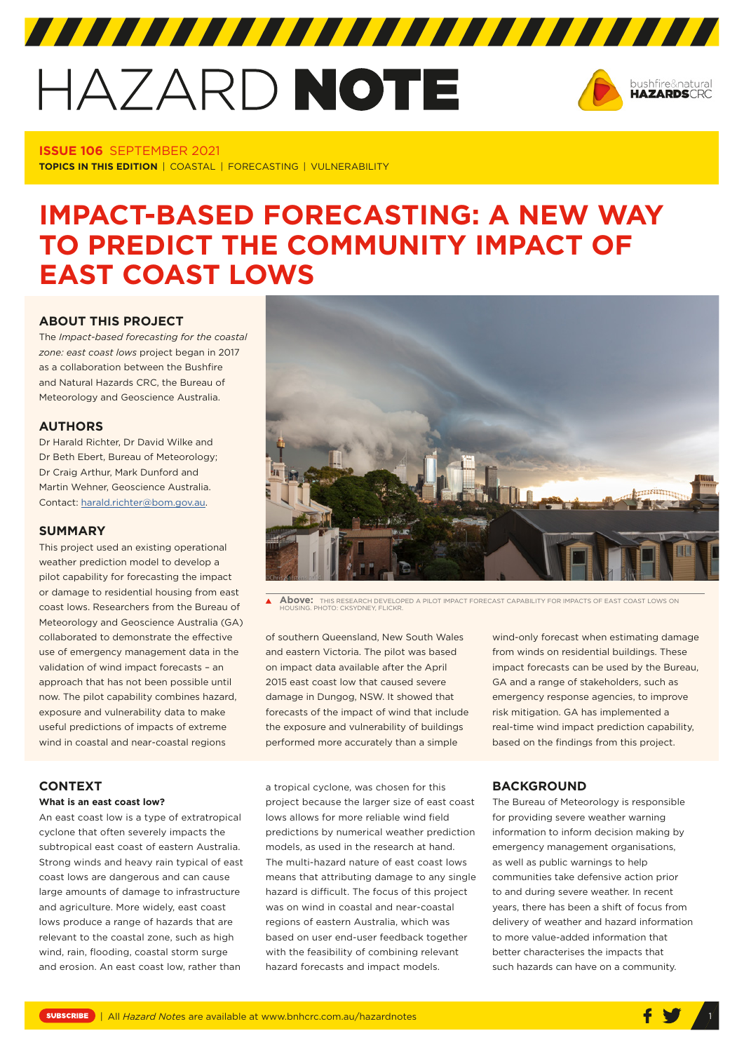# HAZARD NOTE



#### **ISSUE 106** SEPTEMBER 2021 **TOPICS IN THIS EDITION** | COASTAL | FORECASTING | VULNERABILITY

## **IMPACT-BASED FORECASTING: A NEW WAY TO PREDICT THE COMMUNITY IMPACT OF EAST COAST LOWS**

#### **ABOUT THIS PROJECT**

The *Impact-based forecasting for the coastal zone: east coast lows* project began in 2017 as a collaboration between the Bushfire and Natural Hazards CRC, the Bureau of Meteorology and Geoscience Australia.

#### **AUTHORS**

Dr Harald Richter, Dr David Wilke and Dr Beth Ebert, Bureau of Meteorology; Dr Craig Arthur, Mark Dunford and Martin Wehner, Geoscience Australia. Contact: [harald.richter@bom.gov.au](mailto:harald.richter@bom.gov.au).

#### **SUMMARY**

This project used an existing operational weather prediction model to develop a pilot capability for forecasting the impact or damage to residential housing from east coast lows. Researchers from the Bureau of Meteorology and Geoscience Australia (GA) collaborated to demonstrate the effective use of emergency management data in the validation of wind impact forecasts – an approach that has not been possible until now. The pilot capability combines hazard, exposure and vulnerability data to make useful predictions of impacts of extreme wind in coastal and near-coastal regions

#### **CONTEXT**

#### **What is an east coast low?**

An east coast low is a type of extratropical cyclone that often severely impacts the subtropical east coast of eastern Australia. Strong winds and heavy rain typical of east coast lows are dangerous and can cause large amounts of damage to infrastructure and agriculture. More widely, east coast lows produce a range of hazards that are relevant to the coastal zone, such as high wind, rain, flooding, coastal storm surge and erosion. An east coast low, rather than



 $\blacktriangle$ **Above:** THIS RESEARCH DEVELOPED A PILOT IMPACT FORECAST CAPABILITY FOR IMPACTS OF EAST COAST LOWS ON HOUSING. PHOTO: CKSYDNEY, FLICKR.

of southern Queensland, New South Wales and eastern Victoria. The pilot was based on impact data available after the April 2015 east coast low that caused severe damage in Dungog, NSW. It showed that forecasts of the impact of wind that include the exposure and vulnerability of buildings performed more accurately than a simple

a tropical cyclone, was chosen for this project because the larger size of east coast lows allows for more reliable wind field predictions by numerical weather prediction models, as used in the research at hand. The multi-hazard nature of east coast lows means that attributing damage to any single hazard is difficult. The focus of this project was on wind in coastal and near-coastal regions of eastern Australia, which was based on user end-user feedback together with the feasibility of combining relevant hazard forecasts and impact models.

### emergency response agencies, to improve risk mitigation. GA has implemented a real-time wind impact prediction capability, based on the findings from this project.

wind-only forecast when estimating damage from winds on residential buildings. These impact forecasts can be used by the Bureau, GA and a range of stakeholders, such as

#### **BACKGROUND**

The Bureau of Meteorology is responsible for providing severe weather warning information to inform decision making by emergency management organisations, as well as public warnings to help communities take defensive action prior to and during severe weather. In recent years, there has been a shift of focus from delivery of weather and hazard information to more value-added information that better characterises the impacts that such hazards can have on a community.

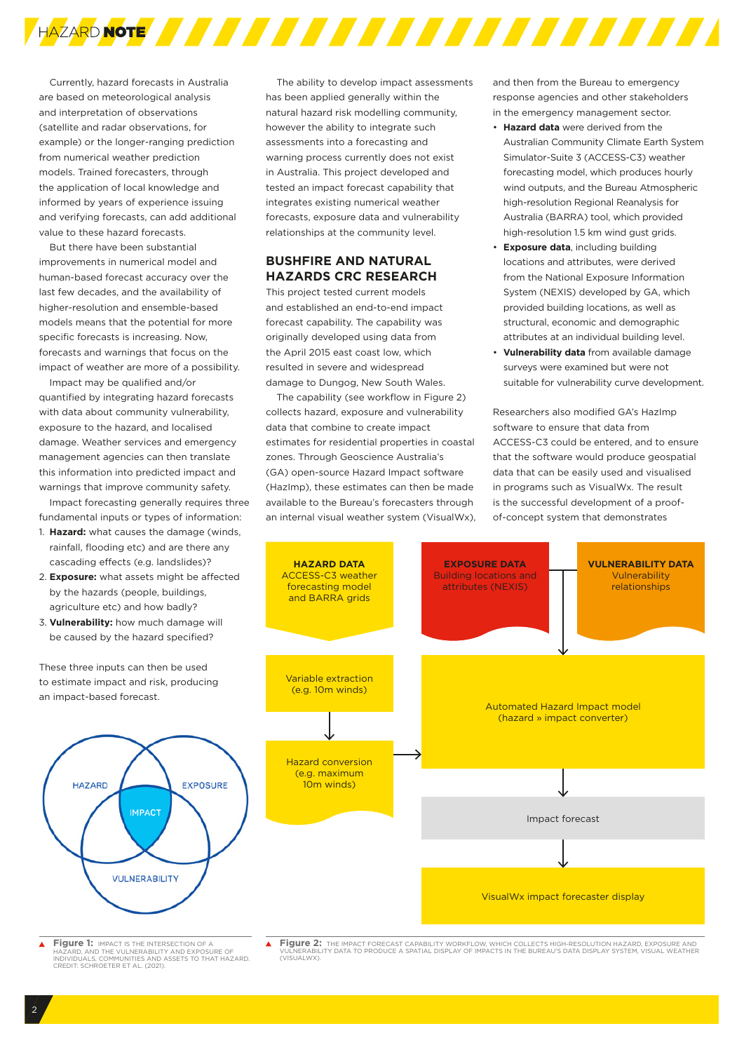

Currently, hazard forecasts in Australia are based on meteorological analysis and interpretation of observations (satellite and radar observations, for example) or the longer-ranging prediction from numerical weather prediction models. Trained forecasters, through the application of local knowledge and informed by years of experience issuing and verifying forecasts, can add additional value to these hazard forecasts.

But there have been substantial improvements in numerical model and human-based forecast accuracy over the last few decades, and the availability of higher-resolution and ensemble-based models means that the potential for more specific forecasts is increasing. Now, forecasts and warnings that focus on the impact of weather are more of a possibility.

Impact may be qualified and/or quantified by integrating hazard forecasts with data about community vulnerability, exposure to the hazard, and localised damage. Weather services and emergency management agencies can then translate this information into predicted impact and warnings that improve community safety.

Impact forecasting generally requires three fundamental inputs or types of information:

- 1. **Hazard:** what causes the damage (winds, rainfall, flooding etc) and are there any cascading effects (e.g. landslides)?
- 2. **Exposure:** what assets might be affected by the hazards (people, buildings, agriculture etc) and how badly?
- 3. **Vulnerability:** how much damage will be caused by the hazard specified?

These three inputs can then be used to estimate impact and risk, producing an impact-based forecast.



 $\blacktriangle$ **Figure 1:** IMPACT IS THE INTERSECTION OF A HAZARD, AND THE VULNERABILITY AND EXPOSURE OF INDIVIDUALS, COMMUNITIES AND ASSETS TO THAT HAZARD. CREDIT: SCHROETER ET AL. (2021).

The ability to develop impact assessments has been applied generally within the natural hazard risk modelling community, however the ability to integrate such assessments into a forecasting and warning process currently does not exist in Australia. This project developed and tested an impact forecast capability that integrates existing numerical weather forecasts, exposure data and vulnerability relationships at the community level.

#### **BUSHFIRE AND NATURAL HAZARDS CRC RESEARCH**

This project tested current models and established an end-to-end impact forecast capability. The capability was originally developed using data from the April 2015 east coast low, which resulted in severe and widespread damage to Dungog, New South Wales.

The capability (see workflow in Figure 2) collects hazard, exposure and vulnerability data that combine to create impact estimates for residential properties in coastal zones. Through Geoscience Australia's (GA) open-source Hazard Impact software (HazImp), these estimates can then be made available to the Bureau's forecasters through an internal visual weather system (VisualWx), and then from the Bureau to emergency response agencies and other stakeholders in the emergency management sector.

- **Hazard data** were derived from the Australian Community Climate Earth System Simulator-Suite 3 (ACCESS-C3) weather forecasting model, which produces hourly wind outputs, and the Bureau Atmospheric high-resolution Regional Reanalysis for Australia (BARRA) tool, which provided high-resolution 1.5 km wind gust grids.
- **Exposure data**, including building locations and attributes, were derived from the National Exposure Information System (NEXIS) developed by GA, which provided building locations, as well as structural, economic and demographic attributes at an individual building level.
- **Vulnerability data** from available damage surveys were examined but were not suitable for vulnerability curve development.

Researchers also modified GA's HazImp software to ensure that data from ACCESS-C3 could be entered, and to ensure that the software would produce geospatial data that can be easily used and visualised in programs such as VisualWx. The result is the successful development of a proofof-concept system that demonstrates



 $\blacktriangle$ **Figure 2:** THE IMPACT FORECAST CAPABILITY WORKFLOW, WHICH COLLECTS HIGH-RESOLUTION HAZARD, EXPOSURE AND<br>VULNERABILITY DATA TO PRODUCE A SPATIAL DISPLAY OF IMPACTS IN THE BUREAU'S DATA DISPLAY SYSTEM, VISUAL WEATHER<br>(VISUA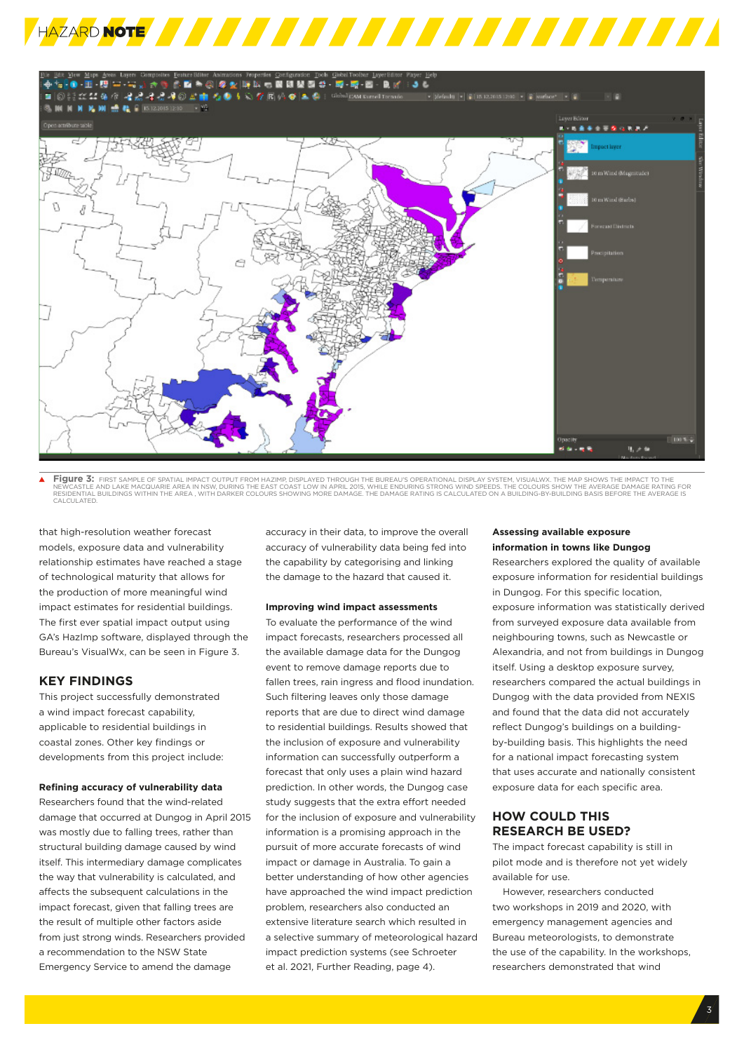



**Figure 3:** FIRST SAMPLE OF SPATIAL IMPACT OUTPUT FROM HAZIMP, DISPLAYED THROUGH THE BUREAU'S OPERATIONAL DISPLAY SYSTEM, VISUALWX. THE MAP SHOWS THE IMPACT TO THE<br>NEWCASTLE AND LAKE MACQUARIE AREA IN NSW, DURING THE EAST

that high-resolution weather forecast models, exposure data and vulnerability relationship estimates have reached a stage of technological maturity that allows for the production of more meaningful wind impact estimates for residential buildings. The first ever spatial impact output using GA's HazImp software, displayed through the Bureau's VisualWx, can be seen in Figure 3.

#### **KEY FINDINGS**

This project successfully demonstrated a wind impact forecast capability, applicable to residential buildings in coastal zones. Other key findings or developments from this project include:

#### **Refining accuracy of vulnerability data**

Researchers found that the wind-related damage that occurred at Dungog in April 2015 was mostly due to falling trees, rather than structural building damage caused by wind itself. This intermediary damage complicates the way that vulnerability is calculated, and affects the subsequent calculations in the impact forecast, given that falling trees are the result of multiple other factors aside from just strong winds. Researchers provided a recommendation to the NSW State Emergency Service to amend the damage

accuracy in their data, to improve the overall accuracy of vulnerability data being fed into the capability by categorising and linking the damage to the hazard that caused it.

#### **Improving wind impact assessments**

To evaluate the performance of the wind impact forecasts, researchers processed all the available damage data for the Dungog event to remove damage reports due to fallen trees, rain ingress and flood inundation. Such filtering leaves only those damage reports that are due to direct wind damage to residential buildings. Results showed that the inclusion of exposure and vulnerability information can successfully outperform a forecast that only uses a plain wind hazard prediction. In other words, the Dungog case study suggests that the extra effort needed for the inclusion of exposure and vulnerability information is a promising approach in the pursuit of more accurate forecasts of wind impact or damage in Australia. To gain a better understanding of how other agencies have approached the wind impact prediction problem, researchers also conducted an extensive literature search which resulted in a selective summary of meteorological hazard impact prediction systems (see Schroeter et al. 2021, Further Reading, page 4).

#### **Assessing available exposure information in towns like Dungog**

Researchers explored the quality of available exposure information for residential buildings in Dungog. For this specific location, exposure information was statistically derived from surveyed exposure data available from neighbouring towns, such as Newcastle or Alexandria, and not from buildings in Dungog itself. Using a desktop exposure survey, researchers compared the actual buildings in Dungog with the data provided from NEXIS and found that the data did not accurately reflect Dungog's buildings on a buildingby-building basis. This highlights the need for a national impact forecasting system that uses accurate and nationally consistent exposure data for each specific area.

#### **HOW COULD THIS RESEARCH BE USED?**

The impact forecast capability is still in pilot mode and is therefore not yet widely available for use.

However, researchers conducted two workshops in 2019 and 2020, with emergency management agencies and Bureau meteorologists, to demonstrate the use of the capability. In the workshops, researchers demonstrated that wind